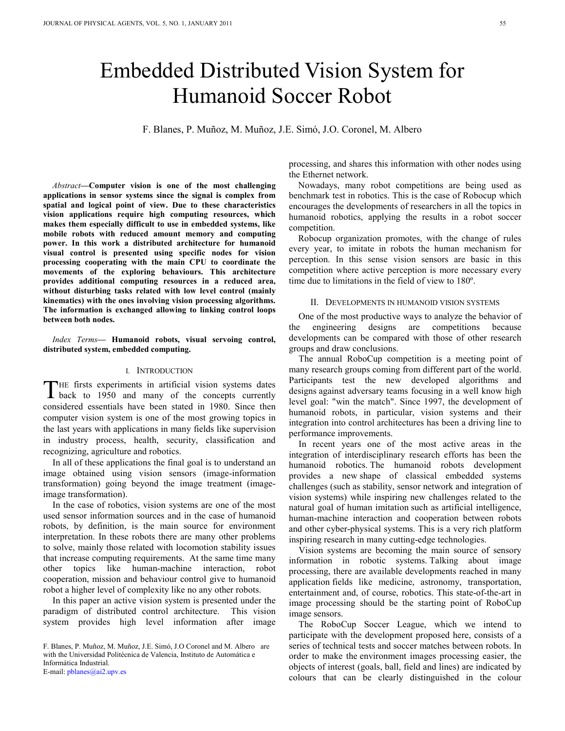# Embedded Distributed Vision System for Humanoid Soccer Robot

F. Blanes, P. Muñoz, M. Muñoz, J.E. Simó, J.O. Coronel, M. Albero

*Abstract***—Computer vision is one of the most challenging applications in sensor systems since the signal is complex from spatial and logical point of view. Due to these characteristics vision applications require high computing resources, which makes them especially difficult to use in embedded systems, like mobile robots with reduced amount memory and computing power. In this work a distributed architecture for humanoid visual control is presented using specific nodes for vision processing cooperating with the main CPU to coordinate the movements of the exploring behaviours. This architecture provides additional computing resources in a reduced area, without disturbing tasks related with low level control (mainly kinematics) with the ones involving vision processing algorithms. The information is exchanged allowing to linking control loops between both nodes.** 

*Index Terms***— Humanoid robots, visual servoing control, distributed system, embedded computing.** 

#### I. INTRODUCTION

 $\nabla$ HE firsts experiments in artificial vision systems dates THE firsts experiments in artificial vision systems dates<br>back to 1950 and many of the concepts currently considered essentials have been stated in 1980. Since then computer vision system is one of the most growing topics in the last years with applications in many fields like supervision in industry process, health, security, classification and recognizing, agriculture and robotics.

In all of these applications the final goal is to understand an image obtained using vision sensors (image-information transformation) going beyond the image treatment (imageimage transformation).

In the case of robotics, vision systems are one of the most used sensor information sources and in the case of humanoid robots, by definition, is the main source for environment interpretation. In these robots there are many other problems to solve, mainly those related with locomotion stability issues that increase computing requirements. At the same time many other topics like human-machine interaction, robot cooperation, mission and behaviour control give to humanoid robot a higher level of complexity like no any other robots.

In this paper an active vision system is presented under the paradigm of distributed control architecture. This vision system provides high level information after image

F. Blanes, P. Muñoz, M. Muñoz, J.E. Simó, J.O Coronel and M. Albero are with the Universidad Politécnica de Valencia, Instituto de Automática e Informática Industrial. E-mail: pblanes@ai2.upv.es

processing, and shares this information with other nodes using the Ethernet network.

Nowadays, many robot competitions are being used as benchmark test in robotics. This is the case of Robocup which encourages the developments of researchers in all the topics in humanoid robotics, applying the results in a robot soccer competition.

Robocup organization promotes, with the change of rules every year, to imitate in robots the human mechanism for perception. In this sense vision sensors are basic in this competition where active perception is more necessary every time due to limitations in the field of view to 180º.

#### II. DEVELOPMENTS IN HUMANOID VISION SYSTEMS

One of the most productive ways to analyze the behavior of the engineering designs are competitions because developments can be compared with those of other research groups and draw conclusions.

The annual RoboCup competition is a meeting point of many research groups coming from different part of the world. Participants test the new developed algorithms and designs against adversary teams focusing in a well know high level goal: "win the match". Since 1997, the development of humanoid robots, in particular, vision systems and their integration into control architectures has been a driving line to performance improvements.

In recent years one of the most active areas in the integration of interdisciplinary research efforts has been the humanoid robotics. The humanoid robots development provides a new shape of classical embedded systems challenges (such as stability, sensor network and integration of vision systems) while inspiring new challenges related to the natural goal of human imitation such as artificial intelligence, human-machine interaction and cooperation between robots and other cyber-physical systems. This is a very rich platform inspiring research in many cutting-edge technologies.

Vision systems are becoming the main source of sensory information in robotic systems. Talking about image processing, there are available developments reached in many application fields like medicine, astronomy, transportation, entertainment and, of course, robotics. This state-of-the-art in image processing should be the starting point of RoboCup image sensors.

The RoboCup Soccer League, which we intend to participate with the development proposed here, consists of a series of technical tests and soccer matches between robots. In order to make the environment images processing easier, the objects of interest (goals, ball, field and lines) are indicated by colours that can be clearly distinguished in the colour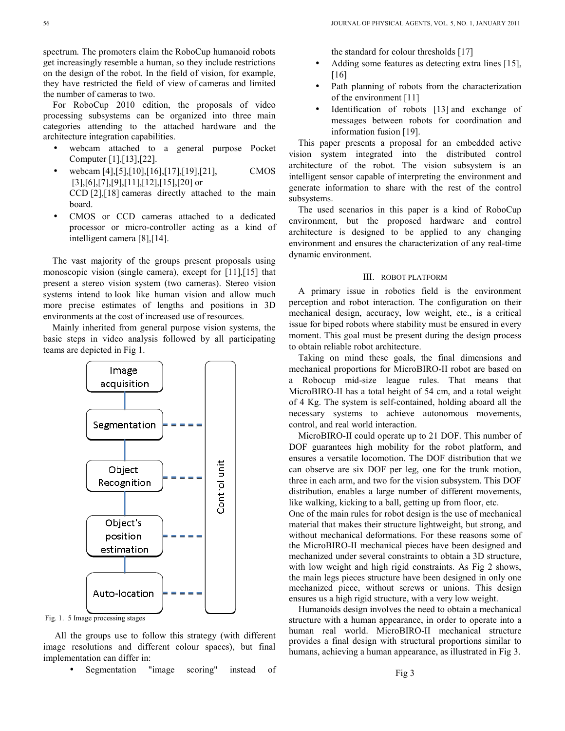spectrum. The promoters claim the RoboCup humanoid robots get increasingly resemble a human, so they include restrictions on the design of the robot. In the field of vision, for example, they have restricted the field of view of cameras and limited the number of cameras to two.

For RoboCup 2010 edition, the proposals of video processing subsystems can be organized into three main categories attending to the attached hardware and the architecture integration capabilities.

- webcam attached to a general purpose Pocket Computer [1],[13],[22].
- webcam [4],[5],[10],[16],[17],[19],[21], CMOS  $[3]$ , $[6]$ , $[7]$ , $[9]$ , $[11]$ , $[12]$ , $[15]$ , $[20]$  or CCD [2],[18] cameras directly attached to the main board.
- CMOS or CCD cameras attached to a dedicated processor or micro-controller acting as a kind of intelligent camera [8],[14].

The vast majority of the groups present proposals using monoscopic vision (single camera), except for [11],[15] that present a stereo vision system (two cameras). Stereo vision systems intend to look like human vision and allow much more precise estimates of lengths and positions in 3D environments at the cost of increased use of resources.

Mainly inherited from general purpose vision systems, the basic steps in video analysis followed by all participating teams are depicted in Fig 1.



 All the groups use to follow this strategy (with different image resolutions and different colour spaces), but final implementation can differ in:

Segmentation "image scoring" instead of

the standard for colour thresholds [17]

- Adding some features as detecting extra lines [15]. [16]
- Path planning of robots from the characterization of the environment [11]
- Identification of robots [13] and exchange of messages between robots for coordination and information fusion [19].

This paper presents a proposal for an embedded active vision system integrated into the distributed control architecture of the robot. The vision subsystem is an intelligent sensor capable of interpreting the environment and generate information to share with the rest of the control subsystems.

The used scenarios in this paper is a kind of RoboCup environment, but the proposed hardware and control architecture is designed to be applied to any changing environment and ensures the characterization of any real-time dynamic environment.

# III. ROBOT PLATFORM

A primary issue in robotics field is the environment perception and robot interaction. The configuration on their mechanical design, accuracy, low weight, etc., is a critical issue for biped robots where stability must be ensured in every moment. This goal must be present during the design process to obtain reliable robot architecture.

Taking on mind these goals, the final dimensions and mechanical proportions for MicroBIRO-II robot are based on a Robocup mid-size league rules. That means that MicroBIRO-II has a total height of 54 cm, and a total weight of 4 Kg. The system is self-contained, holding aboard all the necessary systems to achieve autonomous movements, control, and real world interaction.

MicroBIRO-II could operate up to 21 DOF. This number of DOF guarantees high mobility for the robot platform, and ensures a versatile locomotion. The DOF distribution that we can observe are six DOF per leg, one for the trunk motion, three in each arm, and two for the vision subsystem. This DOF distribution, enables a large number of different movements, like walking, kicking to a ball, getting up from floor, etc.

One of the main rules for robot design is the use of mechanical material that makes their structure lightweight, but strong, and without mechanical deformations. For these reasons some of the MicroBIRO-II mechanical pieces have been designed and mechanized under several constraints to obtain a 3D structure, with low weight and high rigid constraints. As Fig 2 shows, the main legs pieces structure have been designed in only one mechanized piece, without screws or unions. This design ensures us a high rigid structure, with a very low weight.

Humanoids design involves the need to obtain a mechanical structure with a human appearance, in order to operate into a human real world. MicroBIRO-II mechanical structure provides a final design with structural proportions similar to humans, achieving a human appearance, as illustrated in Fig 3.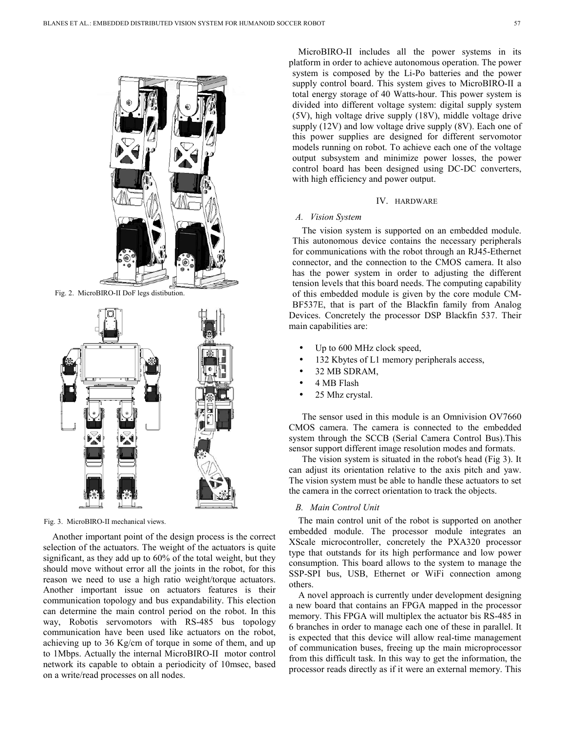

Fig. 2. MicroBIRO-II DoF legs distibution.



Fig. 3. MicroBIRO-II mechanical views.

Another important point of the design process is the correct selection of the actuators. The weight of the actuators is quite significant, as they add up to 60% of the total weight, but they should move without error all the joints in the robot, for this reason we need to use a high ratio weight/torque actuators. Another important issue on actuators features is their communication topology and bus expandability. This election can determine the main control period on the robot. In this way, Robotis servomotors with RS-485 bus topology communication have been used like actuators on the robot, achieving up to 36 Kg/cm of torque in some of them, and up to 1Mbps. Actually the internal MicroBIRO-II motor control network its capable to obtain a periodicity of 10msec, based on a write/read processes on all nodes.

MicroBIRO-II includes all the power systems in its platform in order to achieve autonomous operation. The power system is composed by the Li-Po batteries and the power supply control board. This system gives to MicroBIRO-II a total energy storage of 40 Watts-hour. This power system is divided into different voltage system: digital supply system (5V), high voltage drive supply (18V), middle voltage drive supply (12V) and low voltage drive supply (8V). Each one of this power supplies are designed for different servomotor models running on robot. To achieve each one of the voltage output subsystem and minimize power losses, the power control board has been designed using DC-DC converters, with high efficiency and power output.

#### IV. HARDWARE

# *A. Vision System*

The vision system is supported on an embedded module. This autonomous device contains the necessary peripherals for communications with the robot through an RJ45-Ethernet connector, and the connection to the CMOS camera. It also has the power system in order to adjusting the different tension levels that this board needs. The computing capability of this embedded module is given by the core module CM-BF537E, that is part of the Blackfin family from Analog Devices. Concretely the processor DSP Blackfin 537. Their main capabilities are:

- Up to 600 MHz clock speed,
- 132 Kbytes of L1 memory peripherals access,
- 32 MB SDRAM,
- 4 MB Flash
- 25 Mhz crystal.

 The sensor used in this module is an Omnivision OV7660 CMOS camera. The camera is connected to the embedded system through the SCCB (Serial Camera Control Bus).This sensor support different image resolution modes and formats.

 The vision system is situated in the robot's head (Fig 3). It can adjust its orientation relative to the axis pitch and yaw. The vision system must be able to handle these actuators to set the camera in the correct orientation to track the objects.

# *B. Main Control Unit*

The main control unit of the robot is supported on another embedded module. The processor module integrates an XScale microcontroller, concretely the PXA320 processor type that outstands for its high performance and low power consumption. This board allows to the system to manage the SSP-SPI bus, USB, Ethernet or WiFi connection among others.

A novel approach is currently under development designing a new board that contains an FPGA mapped in the processor memory. This FPGA will multiplex the actuator bis RS-485 in 6 branches in order to manage each one of these in parallel. It is expected that this device will allow real-time management of communication buses, freeing up the main microprocessor from this difficult task. In this way to get the information, the processor reads directly as if it were an external memory. This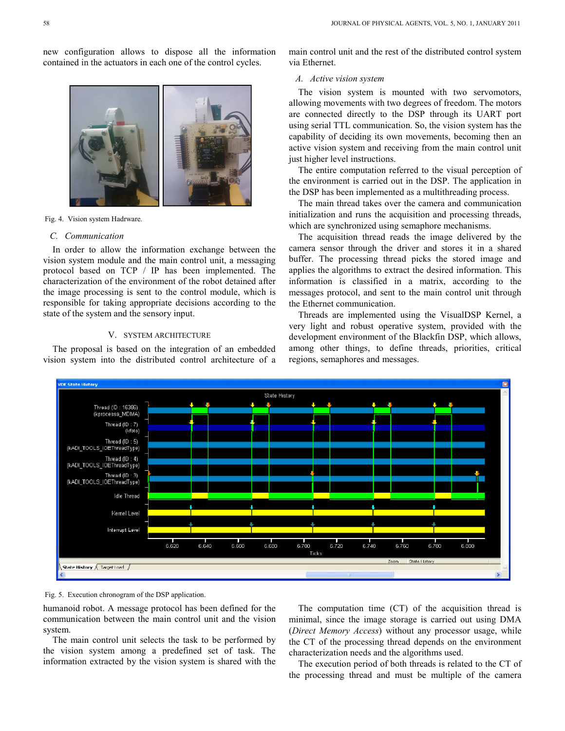new configuration allows to dispose all the information contained in the actuators in each one of the control cycles.



Fig. 4. Vision system Hadrware.

#### *C. Communication*

In order to allow the information exchange between the vision system module and the main control unit, a messaging protocol based on TCP / IP has been implemented. The characterization of the environment of the robot detained after the image processing is sent to the control module, which is responsible for taking appropriate decisions according to the state of the system and the sensory input.

# V. SYSTEM ARCHITECTURE

The proposal is based on the integration of an embedded vision system into the distributed control architecture of a main control unit and the rest of the distributed control system via Ethernet.

# *A. Active vision system*

The vision system is mounted with two servomotors, allowing movements with two degrees of freedom. The motors are connected directly to the DSP through its UART port using serial TTL communication. So, the vision system has the capability of deciding its own movements, becoming then an active vision system and receiving from the main control unit just higher level instructions.

The entire computation referred to the visual perception of the environment is carried out in the DSP. The application in the DSP has been implemented as a multithreading process.

The main thread takes over the camera and communication initialization and runs the acquisition and processing threads, which are synchronized using semaphore mechanisms.

The acquisition thread reads the image delivered by the camera sensor through the driver and stores it in a shared buffer. The processing thread picks the stored image and applies the algorithms to extract the desired information. This information is classified in a matrix, according to the messages protocol, and sent to the main control unit through the Ethernet communication.

Threads are implemented using the VisualDSP Kernel, a very light and robust operative system, provided with the development environment of the Blackfin DSP, which allows, among other things, to define threads, priorities, critical regions, semaphores and messages.



Fig. 5. Execution chronogram of the DSP application.

humanoid robot. A message protocol has been defined for the communication between the main control unit and the vision system.

The main control unit selects the task to be performed by the vision system among a predefined set of task. The information extracted by the vision system is shared with the

The computation time (CT) of the acquisition thread is minimal, since the image storage is carried out using DMA (*Direct Memory Access*) without any processor usage, while the CT of the processing thread depends on the environment characterization needs and the algorithms used.

The execution period of both threads is related to the CT of the processing thread and must be multiple of the camera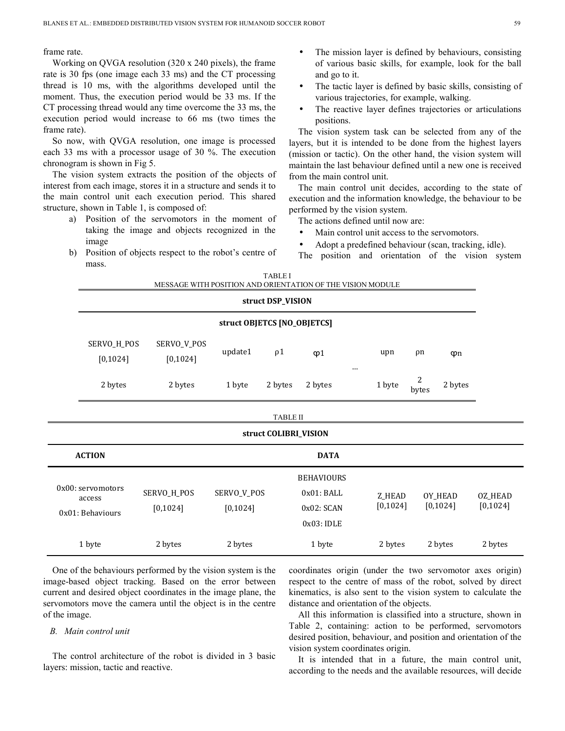frame rate.

Working on QVGA resolution (320 x 240 pixels), the frame rate is 30 fps (one image each 33 ms) and the CT processing thread is 10 ms, with the algorithms developed until the moment. Thus, the execution period would be 33 ms. If the CT processing thread would any time overcome the 33 ms, the execution period would increase to 66 ms (two times the frame rate).

So now, with QVGA resolution, one image is processed each 33 ms with a processor usage of 30 %. The execution chronogram is shown in Fig 5.

The vision system extracts the position of the objects of interest from each image, stores it in a structure and sends it to the main control unit each execution period. This shared structure, shown in Table 1, is composed of:

- a) Position of the servomotors in the moment of taking the image and objects recognized in the image
- b) Position of objects respect to the robot's centre of mass.
- The mission layer is defined by behaviours, consisting of various basic skills, for example, look for the ball and go to it.
- The tactic layer is defined by basic skills, consisting of various trajectories, for example, walking.
- The reactive layer defines trajectories or articulations positions.

The vision system task can be selected from any of the layers, but it is intended to be done from the highest layers (mission or tactic). On the other hand, the vision system will maintain the last behaviour defined until a new one is received from the main control unit.

The main control unit decides, according to the state of execution and the information knowledge, the behaviour to be performed by the vision system.

The actions defined until now are:

- Main control unit access to the servomotors.
- Adopt a predefined behaviour (scan, tracking, idle).
- The position and orientation of the vision system

| <b>TABLE I</b><br>MESSAGE WITH POSITION AND ORIENTATION OF THE VISION MODULE |                                                 |                          |                          |          |                                                             |  |                     |                     |                      |                      |
|------------------------------------------------------------------------------|-------------------------------------------------|--------------------------|--------------------------|----------|-------------------------------------------------------------|--|---------------------|---------------------|----------------------|----------------------|
|                                                                              | struct DSP_VISION                               |                          |                          |          |                                                             |  |                     |                     |                      |                      |
|                                                                              | struct OBJETCS [NO_OBJETCS]                     |                          |                          |          |                                                             |  |                     |                     |                      |                      |
|                                                                              | SERVO_H_POS<br>[0, 1024]                        | SERVO_V_POS<br>[0, 1024] | update1                  | $\rho$ 1 | $\varphi$ 1                                                 |  | upn                 | ρn                  | $\varphi$ n          |                      |
|                                                                              | 2 bytes                                         | 2 bytes                  | 1 byte                   | 2 bytes  | 2 bytes                                                     |  | 1 byte              | $\sqrt{2}$<br>bytes | 2 bytes              |                      |
| <b>TABLE II</b>                                                              |                                                 |                          |                          |          |                                                             |  |                     |                     |                      |                      |
| struct COLIBRI_VISION                                                        |                                                 |                          |                          |          |                                                             |  |                     |                     |                      |                      |
| <b>ACTION</b>                                                                |                                                 |                          | <b>DATA</b>              |          |                                                             |  |                     |                     |                      |                      |
|                                                                              | 0x00: servomotors<br>access<br>0x01: Behaviours | SERVO_H_POS<br>[0, 1024] | SERVO_V_POS<br>[0, 1024] |          | <b>BEHAVIOURS</b><br>0x01: BALL<br>0x02: SCAN<br>0x03: IDLE |  | Z_HEAD<br>[0, 1024] |                     | OY_HEAD<br>[0, 1024] | OZ_HEAD<br>[0, 1024] |
| 1 byte                                                                       |                                                 | 2 bytes                  | 2 bytes                  |          | 1 byte                                                      |  | 2 bytes<br>2 bytes  |                     |                      | 2 bytes              |

One of the behaviours performed by the vision system is the image-based object tracking. Based on the error between current and desired object coordinates in the image plane, the servomotors move the camera until the object is in the centre of the image.

#### *B. Main control unit*

The control architecture of the robot is divided in 3 basic layers: mission, tactic and reactive.

coordinates origin (under the two servomotor axes origin) respect to the centre of mass of the robot, solved by direct kinematics, is also sent to the vision system to calculate the distance and orientation of the objects.

All this information is classified into a structure, shown in Table 2, containing: action to be performed, servomotors desired position, behaviour, and position and orientation of the vision system coordinates origin.

It is intended that in a future, the main control unit, according to the needs and the available resources, will decide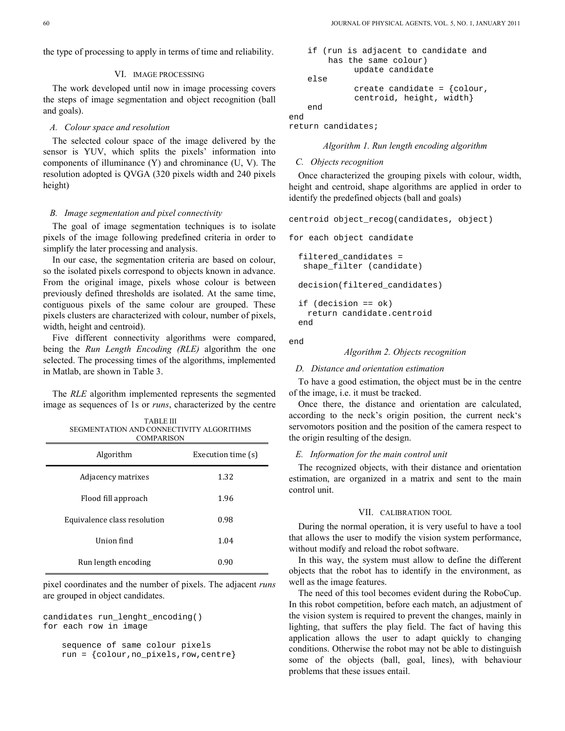the type of processing to apply in terms of time and reliability.

#### VI. IMAGE PROCESSING

The work developed until now in image processing covers the steps of image segmentation and object recognition (ball and goals).

# *A. Colour space and resolution*

The selected colour space of the image delivered by the sensor is YUV, which splits the pixels' information into components of illuminance (Y) and chrominance (U, V). The resolution adopted is QVGA (320 pixels width and 240 pixels height)

#### *B. Image segmentation and pixel connectivity*

The goal of image segmentation techniques is to isolate pixels of the image following predefined criteria in order to simplify the later processing and analysis.

In our case, the segmentation criteria are based on colour, so the isolated pixels correspond to objects known in advance. From the original image, pixels whose colour is between previously defined thresholds are isolated. At the same time, contiguous pixels of the same colour are grouped. These pixels clusters are characterized with colour, number of pixels, width, height and centroid).

Five different connectivity algorithms were compared, being the *Run Length Encoding (RLE)* algorithm the one selected. The processing times of the algorithms, implemented in Matlab, are shown in Table 3.

The *RLE* algorithm implemented represents the segmented image as sequences of 1s or *runs*, characterized by the centre

TABLE III

| SEGMENTATION AND CONNECTIVITY ALGORITHMS<br><b>COMPARISON</b> |                    |  |  |  |  |  |  |  |
|---------------------------------------------------------------|--------------------|--|--|--|--|--|--|--|
| Algorithm                                                     | Execution time (s) |  |  |  |  |  |  |  |
| Adjacency matrixes                                            | 1.32               |  |  |  |  |  |  |  |
| Flood fill approach                                           | 1.96               |  |  |  |  |  |  |  |
| Equivalence class resolution                                  | 0.98               |  |  |  |  |  |  |  |
| Union find                                                    | 1.04               |  |  |  |  |  |  |  |
| Run length encoding                                           | 0.90               |  |  |  |  |  |  |  |

pixel coordinates and the number of pixels. The adjacent *runs* are grouped in object candidates.

```
candidates run_lenght_encoding() 
for each row in image
```

```
sequence of same colour pixels 
run = {colour,no_pixels,row,centre}
```

```
if (run is adjacent to candidate and 
    has the same colour) 
          update candidate 
else 
          create candidate = {colour, 
          centroid, height, width} 
 end
```
end

return candidates;

#### *Algorithm 1. Run length encoding algorithm*

#### *C. Objects recognition*

Once characterized the grouping pixels with colour, width, height and centroid, shape algorithms are applied in order to identify the predefined objects (ball and goals)

```
centroid object_recog(candidates, object)
```
for each object candidate

filtered\_candidates = shape filter (candidate)

decision(filtered\_candidates)

```
if (decision == ok) 
  return candidate.centroid 
 end
```
end

#### *Algorithm 2. Objects recognition*

#### *D. Distance and orientation estimation*

To have a good estimation, the object must be in the centre of the image, i.e. it must be tracked.

Once there, the distance and orientation are calculated, according to the neck's origin position, the current neck's servomotors position and the position of the camera respect to the origin resulting of the design.

#### *E. Information for the main control unit*

The recognized objects, with their distance and orientation estimation, are organized in a matrix and sent to the main control unit.

#### VII. CALIBRATION TOOL

During the normal operation, it is very useful to have a tool that allows the user to modify the vision system performance, without modify and reload the robot software.

In this way, the system must allow to define the different objects that the robot has to identify in the environment, as well as the image features.

The need of this tool becomes evident during the RoboCup. In this robot competition, before each match, an adjustment of the vision system is required to prevent the changes, mainly in lighting, that suffers the play field. The fact of having this application allows the user to adapt quickly to changing conditions. Otherwise the robot may not be able to distinguish some of the objects (ball, goal, lines), with behaviour problems that these issues entail.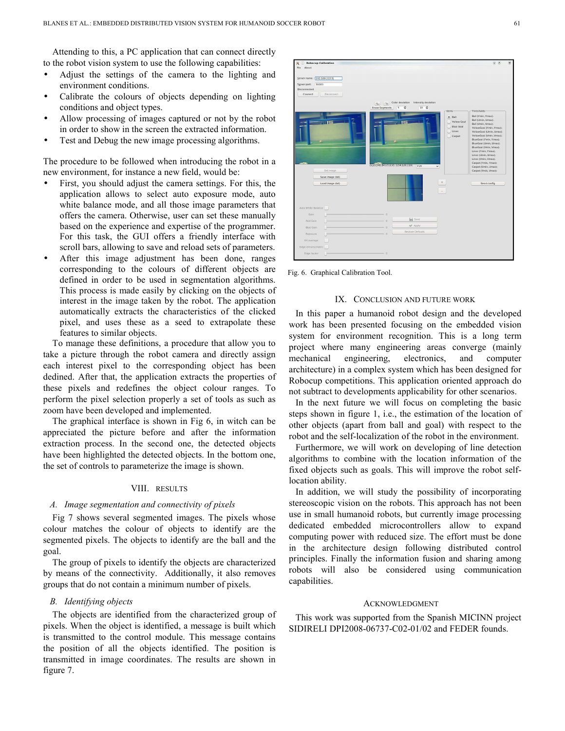Attending to this, a PC application that can connect directly to the robot vision system to use the following capabilities:

- Adjust the settings of the camera to the lighting and environment conditions.
- Calibrate the colours of objects depending on lighting conditions and object types.
- Allow processing of images captured or not by the robot in order to show in the screen the extracted information.
- Test and Debug the new image processing algorithms.

The procedure to be followed when introducing the robot in a new environment, for instance a new field, would be:

- First, you should adjust the camera settings. For this, the application allows to select auto exposure mode, auto white balance mode, and all those image parameters that offers the camera. Otherwise, user can set these manually based on the experience and expertise of the programmer. For this task, the GUI offers a friendly interface with scroll bars, allowing to save and reload sets of parameters.
- After this image adjustment has been done, ranges corresponding to the colours of different objects are defined in order to be used in segmentation algorithms. This process is made easily by clicking on the objects of interest in the image taken by the robot. The application automatically extracts the characteristics of the clicked pixel, and uses these as a seed to extrapolate these features to similar objects.

To manage these definitions, a procedure that allow you to take a picture through the robot camera and directly assign each interest pixel to the corresponding object has been dedined. After that, the application extracts the properties of these pixels and redefines the object colour ranges. To perform the pixel selection properly a set of tools as such as zoom have been developed and implemented.

The graphical interface is shown in Fig 6, in witch can be appreciated the picture before and after the information extraction process. In the second one, the detected objects have been highlighted the detected objects. In the bottom one, the set of controls to parameterize the image is shown.

#### VIII. RESULTS

## *A. Image segmentation and connectivity of pixels*

Fig 7 shows several segmented images. The pixels whose colour matches the colour of objects to identify are the segmented pixels. The objects to identify are the ball and the goal.

The group of pixels to identify the objects are characterized by means of the connectivity. Additionally, it also removes groups that do not contain a minimum number of pixels.

#### *B. Identifying objects*

The objects are identified from the characterized group of pixels. When the object is identified, a message is built which is transmitted to the control module. This message contains the position of all the objects identified. The position is transmitted in image coordinates. The results are shown in figure 7.



Fig. 6. Graphical Calibration Tool.

#### IX. CONCLUSION AND FUTURE WORK

In this paper a humanoid robot design and the developed work has been presented focusing on the embedded vision system for environment recognition. This is a long term project where many engineering areas converge (mainly mechanical engineering, electronics, and computer architecture) in a complex system which has been designed for Robocup competitions. This application oriented approach do not subtract to developments applicability for other scenarios.

In the next future we will focus on completing the basic steps shown in figure 1, i.e., the estimation of the location of other objects (apart from ball and goal) with respect to the robot and the self-localization of the robot in the environment.

Furthermore, we will work on developing of line detection algorithms to combine with the location information of the fixed objects such as goals. This will improve the robot selflocation ability.

In addition, we will study the possibility of incorporating stereoscopic vision on the robots. This approach has not been use in small humanoid robots, but currently image processing dedicated embedded microcontrollers allow to expand computing power with reduced size. The effort must be done in the architecture design following distributed control principles. Finally the information fusion and sharing among robots will also be considered using communication capabilities.

#### ACKNOWLEDGMENT

This work was supported from the Spanish MICINN project SIDIRELI DPI2008-06737-C02-01/02 and FEDER founds.